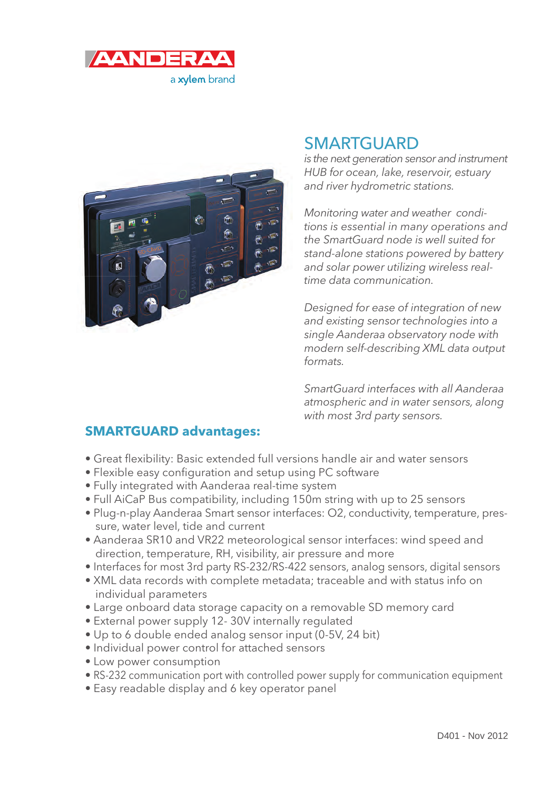



# **SMARTGUARD**

is the next generation sensor and instrument HUB for ocean, lake, reservoir, estuary and river hydrometric stations.

Monitoring water and weather conditions is essential in many operations and the SmartGuard node is well suited for stand-alone stations powered by battery and solar power utilizing wireless realtime data communication.

Designed for ease of integration of new and existing sensor technologies into a single Aanderaa observatory node with modern self-describing XML data output formats.

SmartGuard interfaces with all Aanderaa atmospheric and in water sensors, along with most 3rd party sensors.

# **SMARTGUARD advantages:**

- Great flexibility: Basic extended full versions handle air and water sensors
- Flexible easy confiquration and setup using PC software
- Fully integrated with Aanderaa real-time system
- Full AiCaP Bus compatibility, including 150m string with up to 25 sensors
- Plug-n-play Aanderaa Smart sensor interfaces: O2, conductivity, temperature, pressure, water level, tide and current
- Aanderaa SR10 and VR22 meteorological sensor interfaces: wind speed and direction, temperature, RH, visibility, air pressure and more
- Interfaces for most 3rd party RS-232/RS-422 sensors, analog sensors, digital sensors
- XML data records with complete metadata; traceable and with status info on individual parameters
- Large onboard data storage capacity on a removable SD memory card
- External power supply 12- 30V internally regulated
- Up to 6 double ended analog sensor input (0-5V, 24 bit)
- Individual power control for attached sensors
- Low power consumption
- RS-232 communication port with controlled power supply for communication equipment
- Easy readable display and 6 key operator panel